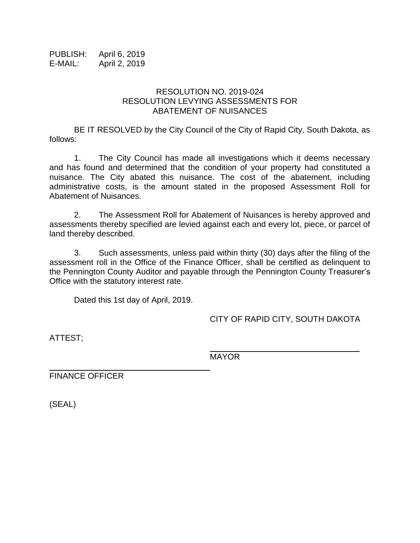PUBLISH: April 6, 2019 E-MAIL: April 2, 2019

## RESOLUTION NO. 2019-024 RESOLUTION LEVYING ASSESSMENTS FOR ABATEMENT OF NUISANCES

BE IT RESOLVED by the City Council of the City of Rapid City, South Dakota, as follows:

1. The City Council has made all investigations which it deems necessary and has found and determined that the condition of your property had constituted a nuisance. The City abated this nuisance. The cost of the abatement, including administrative costs, is the amount stated in the proposed Assessment Roll for Abatement of Nuisances.

2. The Assessment Roll for Abatement of Nuisances is hereby approved and assessments thereby specified are levied against each and every lot, piece, or parcel of land thereby described.

3. Such assessments, unless paid within thirty (30) days after the filing of the assessment roll in the Office of the Finance Officer, shall be certified as delinquent to the Pennington County Auditor and payable through the Pennington County Treasurer's Office with the statutory interest rate.

Dated this 1st day of April, 2019.

CITY OF RAPID CITY, SOUTH DAKOTA

ATTEST;

\_\_\_\_\_\_\_\_\_\_\_\_\_\_\_\_\_\_\_\_\_\_\_\_\_\_\_\_\_\_ MAYOR

FINANCE OFFICER

(SEAL)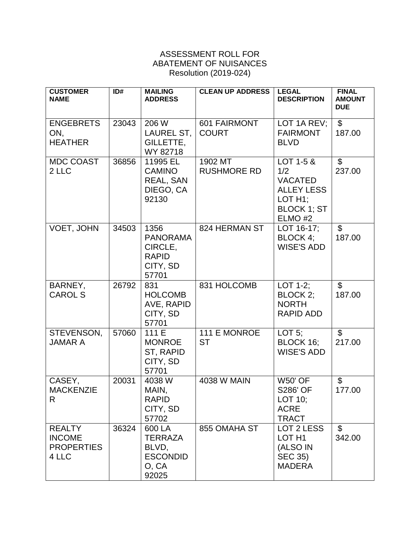## ASSESSMENT ROLL FOR ABATEMENT OF NUISANCES Resolution (2019-024)

| <b>CUSTOMER</b><br><b>NAME</b>                               | ID#   | <b>MAILING</b><br><b>ADDRESS</b>                                        | <b>CLEAN UP ADDRESS</b>       | <b>LEGAL</b><br><b>DESCRIPTION</b>                                                                              | <b>FINAL</b><br><b>AMOUNT</b><br><b>DUE</b> |
|--------------------------------------------------------------|-------|-------------------------------------------------------------------------|-------------------------------|-----------------------------------------------------------------------------------------------------------------|---------------------------------------------|
| <b>ENGEBRETS</b><br>ON,<br><b>HEATHER</b>                    | 23043 | 206 W<br>LAUREL ST,<br>GILLETTE,<br>WY 82718                            | 601 FAIRMONT<br><b>COURT</b>  | LOT 1A REV;<br><b>FAIRMONT</b><br><b>BLVD</b>                                                                   | $\overline{\$}$<br>187.00                   |
| <b>MDC COAST</b><br>2 LLC                                    | 36856 | 11995 EL<br><b>CAMINO</b><br>REAL, SAN<br>DIEGO, CA<br>92130            | 1902 MT<br><b>RUSHMORE RD</b> | LOT 1-5 &<br>1/2<br><b>VACATED</b><br><b>ALLEY LESS</b><br>LOT H <sub>1</sub> :<br><b>BLOCK 1; ST</b><br>ELMO#2 | $\mathfrak{S}$<br>237.00                    |
| VOET, JOHN                                                   | 34503 | 1356<br><b>PANORAMA</b><br>CIRCLE,<br><b>RAPID</b><br>CITY, SD<br>57701 | 824 HERMAN ST                 | LOT 16-17;<br>$BLOCK 4$ ;<br><b>WISE'S ADD</b>                                                                  | $\overline{\mathcal{S}}$<br>187.00          |
| BARNEY,<br><b>CAROL S</b>                                    | 26792 | 831<br><b>HOLCOMB</b><br>AVE, RAPID<br>CITY, SD<br>57701                | 831 HOLCOMB                   | $LOT 1-2;$<br>BLOCK 2;<br><b>NORTH</b><br><b>RAPID ADD</b>                                                      | $\overline{\mathcal{S}}$<br>187.00          |
| STEVENSON,<br><b>JAMAR A</b>                                 | 57060 | 111 E<br><b>MONROE</b><br>ST, RAPID<br>CITY, SD<br>57701                | 111 E MONROE<br><b>ST</b>     | LOT $5$ ;<br>BLOCK 16;<br><b>WISE'S ADD</b>                                                                     | $\mathfrak{S}$<br>217.00                    |
| CASEY,<br><b>MACKENZIE</b><br>R                              | 20031 | 4038 W<br>MAIN,<br><b>RAPID</b><br>CITY, SD<br>57702                    | <b>4038 W MAIN</b>            | <b>W50' OF</b><br><b>S286' OF</b><br>LOT 10;<br><b>ACRE</b><br><b>TRACT</b>                                     | \$<br>177.00                                |
| <b>REALTY</b><br><b>INCOME</b><br><b>PROPERTIES</b><br>4 LLC | 36324 | 600 LA<br><b>TERRAZA</b><br>BLVD,<br><b>ESCONDID</b><br>O, CA<br>92025  | 855 OMAHA ST                  | LOT 2 LESS<br>LOT <sub>H1</sub><br>(ALSO IN<br><b>SEC 35)</b><br><b>MADERA</b>                                  | $\mathfrak{L}$<br>342.00                    |